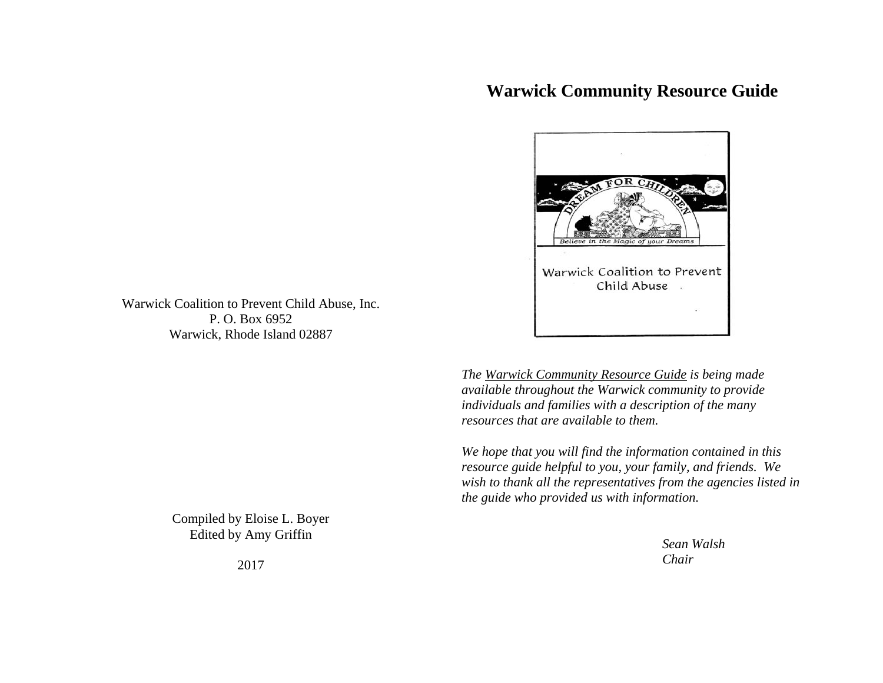# **Warwick Community Resource Guide**



Warwick Coalition to Prevent Child Abuse, Inc. P. O. Box 6952 Warwick, Rhode Island 02887

> *The Warwick Community Resource Guide is being made available throughout the Warwick community to provide individuals and families with a description of the many resources that are available to them.*

*We hope that you will find the information contained in this resource guide helpful to you, your family, and friends. We wish to thank all the representatives from the agencies listed in the guide who provided us with information.* 

> *Sean Walsh Chair*

Compiled by Eloise L. Boyer Edited by Amy Griffin

2017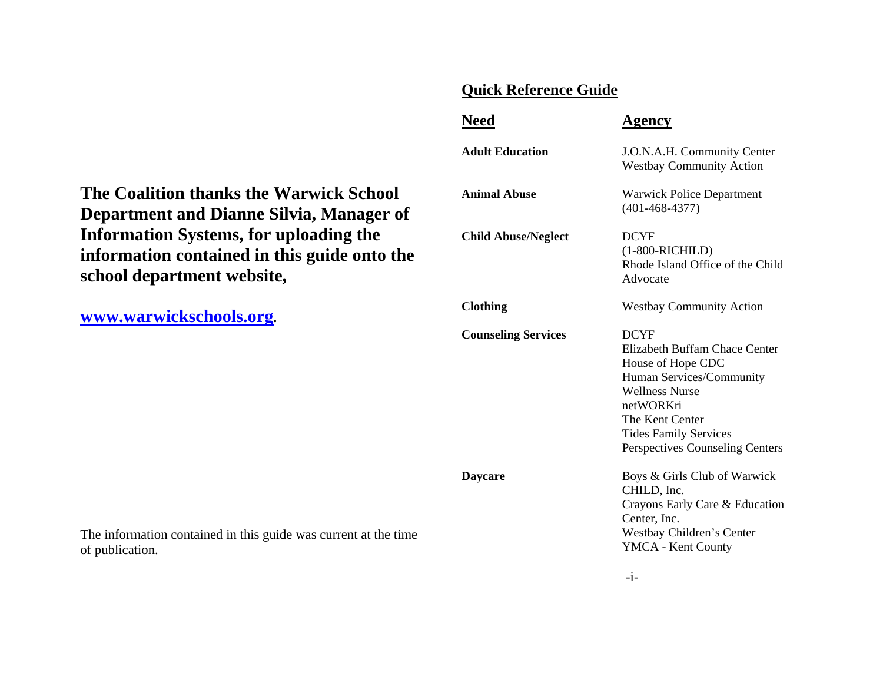## **Quick Reference Guide**

|                 | Need                       | Agency                                                                                                                                                                                                                    |
|-----------------|----------------------------|---------------------------------------------------------------------------------------------------------------------------------------------------------------------------------------------------------------------------|
|                 | <b>Adult Education</b>     | J.O.N.A.H. Community Center<br><b>Westbay Community Action</b>                                                                                                                                                            |
| )]<br><b>of</b> | <b>Animal Abuse</b>        | <b>Warwick Police Department</b><br>$(401 - 468 - 4377)$                                                                                                                                                                  |
| the             | <b>Child Abuse/Neglect</b> | <b>DCYF</b><br>$(1-800-RICHILD)$<br>Rhode Island Office of the Child<br>Advocate                                                                                                                                          |
|                 | <b>Clothing</b>            | <b>Westbay Community Action</b>                                                                                                                                                                                           |
|                 | <b>Counseling Services</b> | <b>DCYF</b><br>Elizabeth Buffam Chace Center<br>House of Hope CDC<br>Human Services/Community<br><b>Wellness Nurse</b><br>netWORKri<br>The Kent Center<br><b>Tides Family Services</b><br>Perspectives Counseling Centers |
| time            | <b>Daycare</b>             | Boys & Girls Club of Warwick<br>CHILD, Inc.<br>Crayons Early Care & Education<br>Center, Inc.<br>Westbay Children's Center<br><b>YMCA</b> - Kent County                                                                   |

**The Coalition thanks the Warwick School Department and Dianne Silvia, Manager Information Systems, for uploading the**  information contained in this guide onto **school department website,** 

**www.warwickschools.org.** 

The information contained in this guide was current at the of publication.

-i-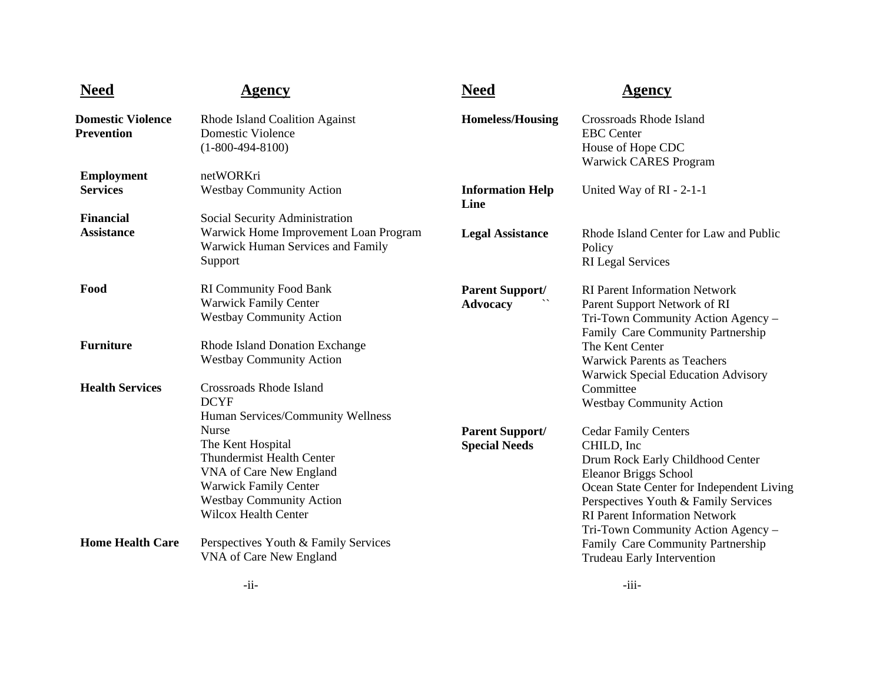| <b>Need</b>                                   | Agency                                                                                                                                                                                             | <b>Need</b>                                    | Agency                                                                                                                                                                                                                                                                           |
|-----------------------------------------------|----------------------------------------------------------------------------------------------------------------------------------------------------------------------------------------------------|------------------------------------------------|----------------------------------------------------------------------------------------------------------------------------------------------------------------------------------------------------------------------------------------------------------------------------------|
| <b>Domestic Violence</b><br><b>Prevention</b> | Rhode Island Coalition Against<br><b>Domestic Violence</b><br>$(1-800-494-8100)$                                                                                                                   | <b>Homeless/Housing</b>                        | Crossroads Rhode Island<br><b>EBC</b> Center<br>House of Hope CDC<br><b>Warwick CARES Program</b>                                                                                                                                                                                |
| <b>Employment</b><br><b>Services</b>          | netWORKri<br><b>Westbay Community Action</b>                                                                                                                                                       | <b>Information Help</b><br>Line                | United Way of RI - 2-1-1                                                                                                                                                                                                                                                         |
| <b>Financial</b><br><b>Assistance</b>         | Social Security Administration<br>Warwick Home Improvement Loan Program<br>Warwick Human Services and Family<br>Support                                                                            | <b>Legal Assistance</b>                        | Rhode Island Center for Law and Public<br>Policy<br><b>RI</b> Legal Services                                                                                                                                                                                                     |
| Food                                          | <b>RI Community Food Bank</b><br><b>Warwick Family Center</b><br><b>Westbay Community Action</b>                                                                                                   | <b>Parent Support/</b><br><b>Advocacy</b>      | <b>RI Parent Information Network</b><br>Parent Support Network of RI<br>Tri-Town Community Action Agency -<br>Family Care Community Partnership                                                                                                                                  |
| <b>Furniture</b>                              | Rhode Island Donation Exchange<br><b>Westbay Community Action</b>                                                                                                                                  |                                                | The Kent Center<br><b>Warwick Parents as Teachers</b><br><b>Warwick Special Education Advisory</b>                                                                                                                                                                               |
| <b>Health Services</b>                        | Crossroads Rhode Island<br><b>DCYF</b><br>Human Services/Community Wellness                                                                                                                        |                                                | Committee<br><b>Westbay Community Action</b>                                                                                                                                                                                                                                     |
|                                               | <b>Nurse</b><br>The Kent Hospital<br><b>Thundermist Health Center</b><br>VNA of Care New England<br><b>Warwick Family Center</b><br><b>Westbay Community Action</b><br><b>Wilcox Health Center</b> | <b>Parent Support/</b><br><b>Special Needs</b> | <b>Cedar Family Centers</b><br>CHILD, Inc<br>Drum Rock Early Childhood Center<br><b>Eleanor Briggs School</b><br>Ocean State Center for Independent Living<br>Perspectives Youth & Family Services<br><b>RI Parent Information Network</b><br>Tri-Town Community Action Agency - |
| <b>Home Health Care</b>                       | Perspectives Youth & Family Services<br>VNA of Care New England                                                                                                                                    |                                                | Family Care Community Partnership<br>Trudeau Early Intervention                                                                                                                                                                                                                  |
|                                               | $-11-$                                                                                                                                                                                             |                                                | $-111-$                                                                                                                                                                                                                                                                          |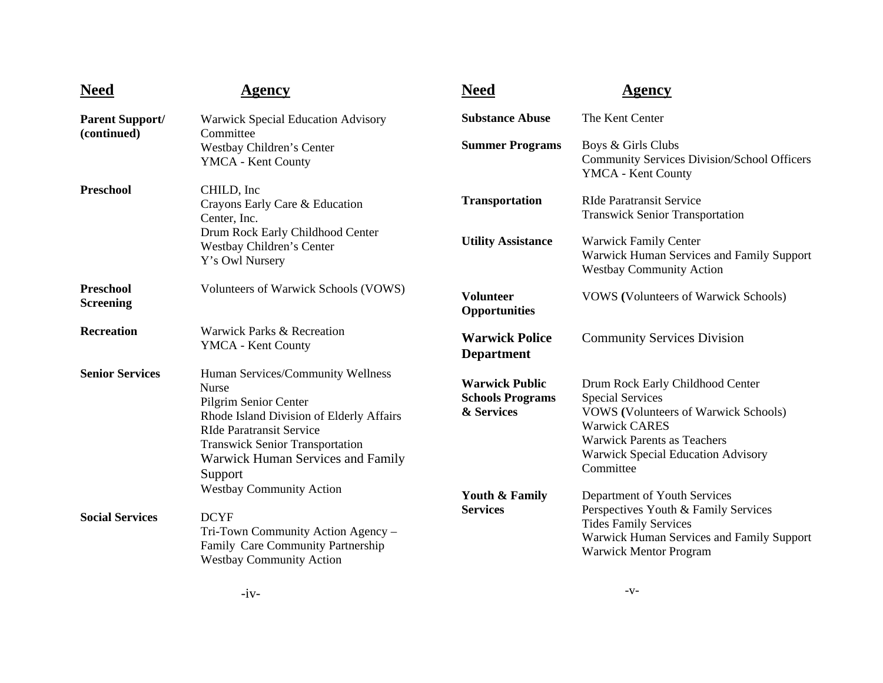| <b>Need</b>                          | <b>Agency</b>                                                                                                                                                                                                                                       | <b>Need</b>                                                    | Agency                                                                                                                                                                                                                             |
|--------------------------------------|-----------------------------------------------------------------------------------------------------------------------------------------------------------------------------------------------------------------------------------------------------|----------------------------------------------------------------|------------------------------------------------------------------------------------------------------------------------------------------------------------------------------------------------------------------------------------|
| <b>Parent Support/</b>               | Warwick Special Education Advisory                                                                                                                                                                                                                  | <b>Substance Abuse</b>                                         | The Kent Center                                                                                                                                                                                                                    |
| (continued)                          | Committee<br>Westbay Children's Center<br>YMCA - Kent County                                                                                                                                                                                        | <b>Summer Programs</b>                                         | Boys & Girls Clubs<br><b>Community Services Division/School Officers</b><br>YMCA - Kent County                                                                                                                                     |
| <b>Preschool</b>                     | CHILD, Inc.<br>Crayons Early Care & Education<br>Center, Inc.                                                                                                                                                                                       | <b>Transportation</b>                                          | <b>RIde Paratransit Service</b><br><b>Transwick Senior Transportation</b>                                                                                                                                                          |
|                                      | Drum Rock Early Childhood Center<br>Westbay Children's Center<br>Y's Owl Nursery                                                                                                                                                                    | <b>Utility Assistance</b>                                      | <b>Warwick Family Center</b><br>Warwick Human Services and Family Support<br><b>Westbay Community Action</b>                                                                                                                       |
| <b>Preschool</b><br><b>Screening</b> | Volunteers of Warwick Schools (VOWS)                                                                                                                                                                                                                | <b>Volunteer</b><br><b>Opportunities</b>                       | <b>VOWS</b> (Volunteers of Warwick Schools)                                                                                                                                                                                        |
| <b>Recreation</b>                    | Warwick Parks & Recreation<br>YMCA - Kent County                                                                                                                                                                                                    | <b>Warwick Police</b><br><b>Department</b>                     | <b>Community Services Division</b>                                                                                                                                                                                                 |
| <b>Senior Services</b>               | Human Services/Community Wellness<br>Nurse<br>Pilgrim Senior Center<br>Rhode Island Division of Elderly Affairs<br><b>RIde Paratransit Service</b><br><b>Transwick Senior Transportation</b><br><b>Warwick Human Services and Family</b><br>Support | <b>Warwick Public</b><br><b>Schools Programs</b><br>& Services | Drum Rock Early Childhood Center<br><b>Special Services</b><br><b>VOWS</b> (Volunteers of Warwick Schools)<br><b>Warwick CARES</b><br><b>Warwick Parents as Teachers</b><br><b>Warwick Special Education Advisory</b><br>Committee |
| <b>Social Services</b>               | <b>Westbay Community Action</b><br><b>DCYF</b><br>Tri-Town Community Action Agency -<br>Family Care Community Partnership<br><b>Westbay Community Action</b>                                                                                        | <b>Youth &amp; Family</b><br><b>Services</b>                   | Department of Youth Services<br>Perspectives Youth & Family Services<br><b>Tides Family Services</b><br>Warwick Human Services and Family Support<br>Warwick Mentor Program                                                        |
|                                      | $\mathbf{1}$                                                                                                                                                                                                                                        |                                                                | $-V-$                                                                                                                                                                                                                              |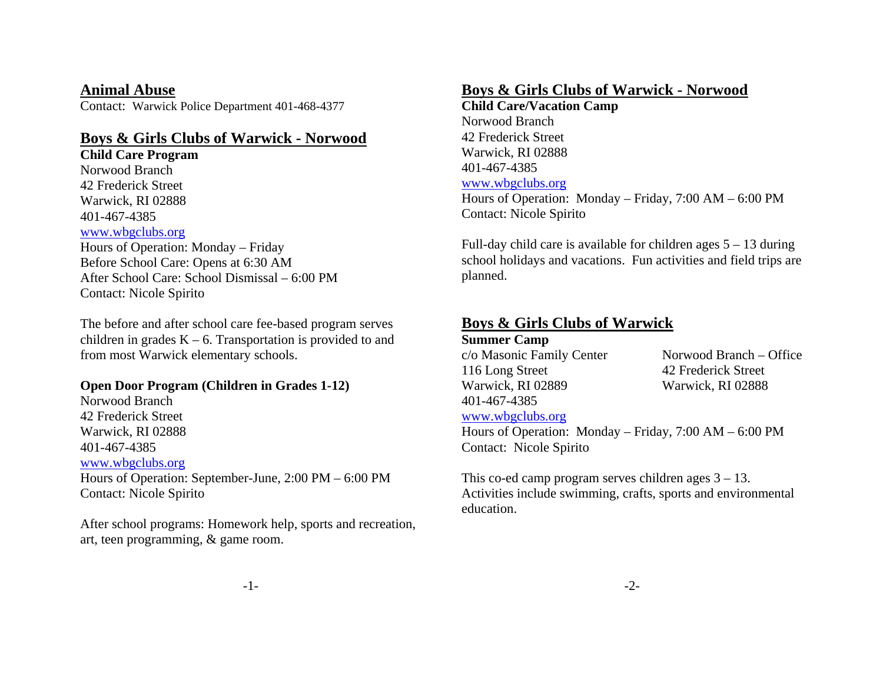**Animal Abuse** 

Contact: Warwick Police Department 401-468-4377

#### **Boys & Girls Clubs of Warwick - Norwood**

**Child Care Program**  Norwood Branch 42 Frederick Street Warwick, RI 02888 401-467-4385 www.wbgclubs.org Hours of Operation: Monday – Friday Before School Care: Opens at 6:30 AM After School Care: School Dismissal – 6:00 PM Contact: Nicole Spirito

The before and after school care fee-based program serves children in grades  $K - 6$ . Transportation is provided to and from most Warwick elementary schools.

#### **Open Door Program (Children in Grades 1-12)**

Norwood Branch 42 Frederick Street Warwick, RI 02888 401-467-4385 www.wbgclubs.org Hours of Operation: September-June, 2:00 PM – 6:00 PM Contact: Nicole Spirito

After school programs: Homework help, sports and recreation, art, teen programming, & game room.

#### **Boys & Girls Clubs of Warwick - Norwood**

**Child Care/Vacation Camp**  Norwood Branch 42 Frederick Street Warwick, RI 02888 401-467-4385 www.wbgclubs.org Hours of Operation: Monday – Friday, 7:00 AM – 6:00 PM Contact: Nicole Spirito

Full-day child care is available for children ages 5 – 13 during school holidays and vacations. Fun activities and field trips are planned.

#### **Boys & Girls Clubs of Warwick**

**Summer Camp**  116 Long Street 42 Frederick Street Warwick, RI 02889 Warwick, RI 02888 401-467-4385 www.wbgclubs.org

c/o Masonic Family Center Norwood Branch – Office

Hours of Operation: Monday – Friday, 7:00 AM – 6:00 PM Contact: Nicole Spirito

This co-ed camp program serves children ages  $3 - 13$ . Activities include swimming, crafts, sports and environmental education.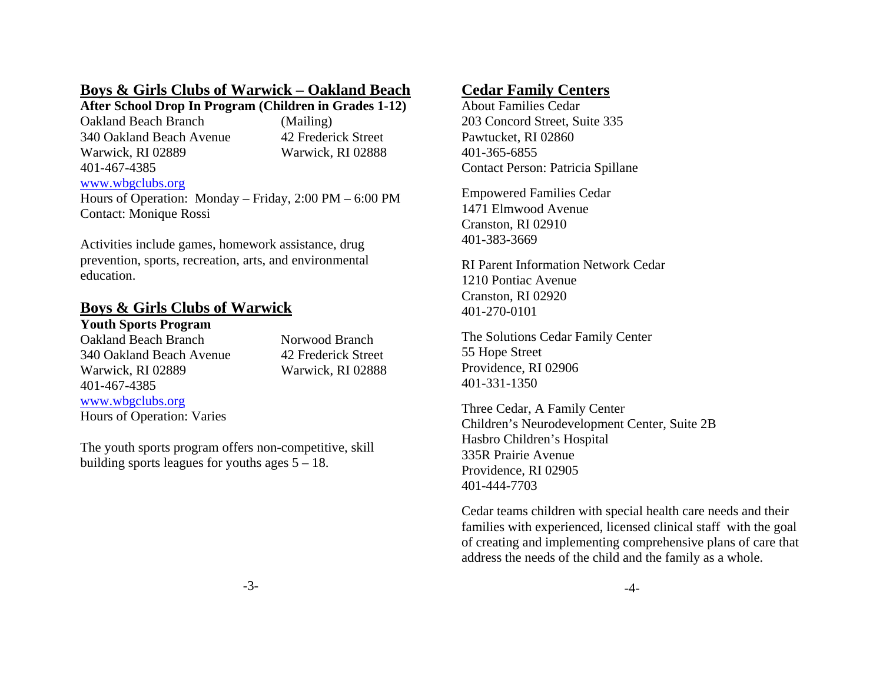#### **Boys & Girls Clubs of Warwick – Oakland Beach**

#### **After School Drop In Program (Children in Grades 1-12)**

Oakland Beach Branch (Mailing) 340 Oakland Beach Avenue 42 Frederick Street Warwick, RI 02889 Warwick, RI 02888 401-467-4385

#### www.wbgclubs.org

Hours of Operation: Monday – Friday, 2:00 PM – 6:00 PM Contact: Monique Rossi

Activities include games, homework assistance, drug prevention, sports, recreation, arts, and environmental education.

# **Boys & Girls Clubs of Warwick**

#### **Youth Sports Program**

Oakland Beach Branch Norwood Branch 340 Oakland Beach Avenue 42 Frederick Street Warwick, RI 02889 Warwick, RI 02888 401-467-4385

#### www.wbgclubs.org Hours of Operation: Varies

The youth sports program offers non-competitive, skill building sports leagues for youths ages  $5 - 18$ .

## **Cedar Family Centers**

About Families Cedar 203 Concord Street, Suite 335 Pawtucket, RI 02860 401-365-6855 Contact Person: Patricia Spillane

Empowered Families Cedar 1471 Elmwood Avenue Cranston, RI 02910 401-383-3669

RI Parent Information Network Cedar 1210 Pontiac Avenue Cranston, RI 02920 401-270-0101

The Solutions Cedar Family Center 55 Hope Street Providence, RI 02906 401-331-1350

Three Cedar, A Family Center Children's Neurodevelopment Center, Suite 2B Hasbro Children's Hospital 335R Prairie Avenue Providence, RI 02905 401-444-7703

Cedar teams children with special health care needs and their families with experienced, licensed clinical staff with the goal of creating and implementing comprehensive plans of care that address the needs of the child and the family as a whole.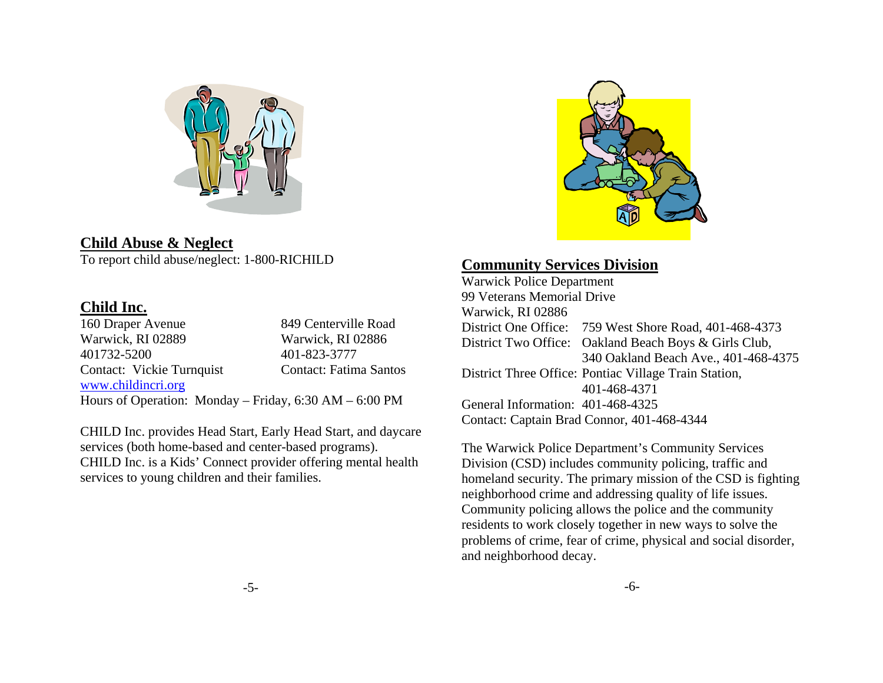

**Child Abuse & Neglect**  To report child abuse/neglect: 1-800-RICHILD

#### **Child Inc.**

160 Draper Avenue 849 Centerville Road Warwick, RI 02889 Warwick, RI 02886 401732-5200 401-823-3777 Contact: Vickie Turnquist Contact: Fatima Santos www.childincri.org Hours of Operation: Monday – Friday, 6:30 AM – 6:00 PM

CHILD Inc. provides Head Start, Early Head Start, and daycare services (both home-based and center-based programs). CHILD Inc. is a Kids' Connect provider offering mental health services to young children and their families.



## **Community Services Division**

Warwick Police Department 99 Veterans Memorial Drive Warwick, RI 02886 District One Office: 759 West Shore Road, 401-468-4373 District Two Office: Oakland Beach Boys & Girls Club, 340 Oakland Beach Ave., 401-468-4375 District Three Office: Pontiac Village Train Station, 401-468-4371 General Information: 401-468-4325 Contact: Captain Brad Connor, 401-468-4344

The Warwick Police Department's Community Services Division (CSD) includes community policing, traffic and homeland security. The primary mission of the CSD is fighting neighborhood crime and addressing quality of life issues. Community policing allows the police and the community residents to work closely together in new ways to solve the problems of crime, fear of crime, physical and social disorder, and neighborhood decay.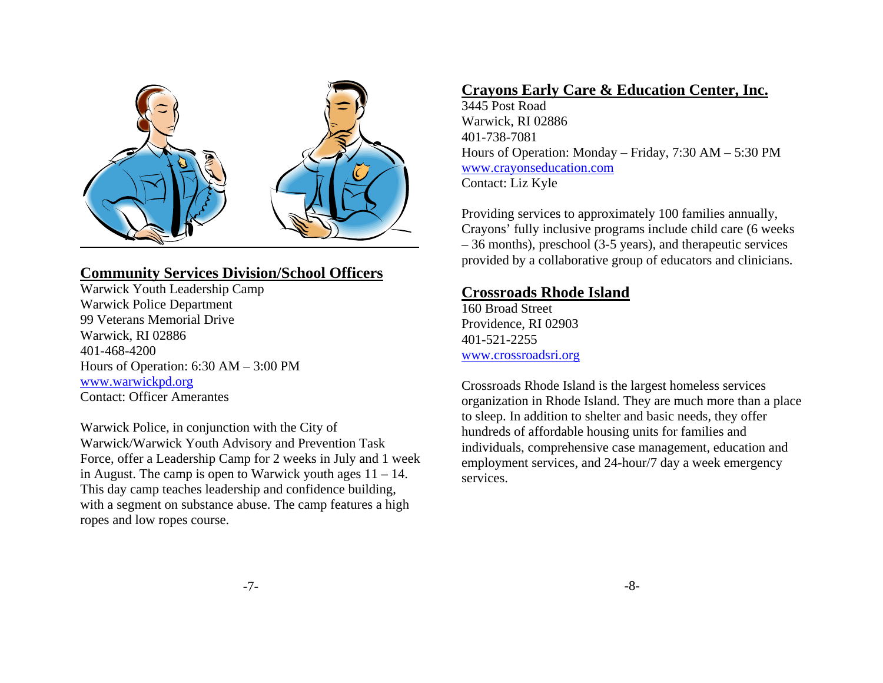

## **Community Services Division/School Officers**

Warwick Youth Leadership Camp Warwick Police Department 99 Veterans Memorial Drive Warwick, RI 02886 401-468-4200 Hours of Operation: 6:30 AM – 3:00 PM www.warwickpd.org Contact: Officer Amerantes

Warwick Police, in conjunction with the City of Warwick/Warwick Youth Advisory and Prevention Task Force, offer a Leadership Camp for 2 weeks in July and 1 week in August. The camp is open to Warwick youth ages  $11 - 14$ . This day camp teaches leadership and confidence building, with a segment on substance abuse. The camp features a high ropes and low ropes course.

## **Crayons Early Care & Education Center, Inc.**

3445 Post Road Warwick, RI 02886 401-738-7081 Hours of Operation: Monday – Friday, 7:30 AM – 5:30 PM www.crayonseducation.com Contact: Liz Kyle

Providing services to approximately 100 families annually, Crayons' fully inclusive programs include child care (6 weeks – 36 months), preschool (3-5 years), and therapeutic services provided by a collaborative group of educators and clinicians.

#### **Crossroads Rhode Island**

160 Broad Street Providence, RI 02903 401-521-2255 www.crossroadsri.org

Crossroads Rhode Island is the largest homeless services organization in Rhode Island. They are much more than a place to sleep. In addition to shelter and basic needs, they offer hundreds of affordable housing units for families and individuals, comprehensive case management, education and employment services, and 24-hour/7 day a week emergency services.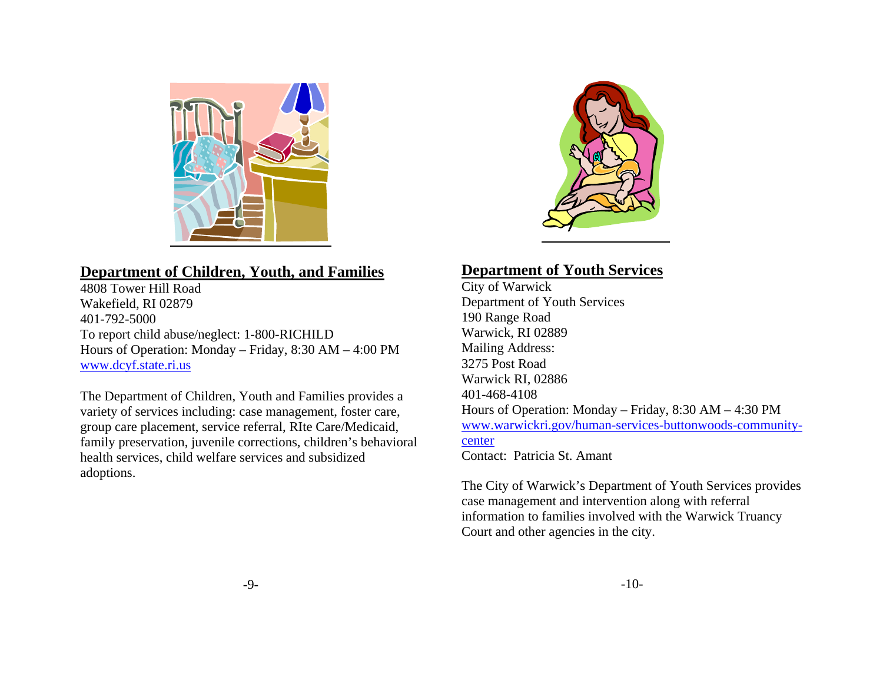

# **Department of Children, Youth, and Families**

4808 Tower Hill Road Wakefield, RI 02879 401-792-5000 To report child abuse/neglect: 1-800-RICHILD Hours of Operation: Monday – Friday, 8:30 AM – 4:00 PM www.dcyf.state.ri.us

The Department of Children, Youth and Families provides a variety of services including: case management, foster care, group care placement, service referral, RIte Care/Medicaid, family preservation, juvenile corrections, children's behavioral health services, child welfare services and subsidized adoptions.



## **Department of Youth Services**

City of Warwick Department of Youth Services 190 Range Road Warwick, RI 02889 Mailing Address: 3275 Post Road Warwick RI, 02886 401-468-4108 Hours of Operation: Monday – Friday, 8:30 AM – 4:30 PM www.warwickri.gov/human-services-buttonwoods-communitycenterContact: Patricia St. Amant

The City of Warwick's Department of Youth Services provides case management and intervention along with referral information to families involved with the Warwick Truancy Court and other agencies in the city.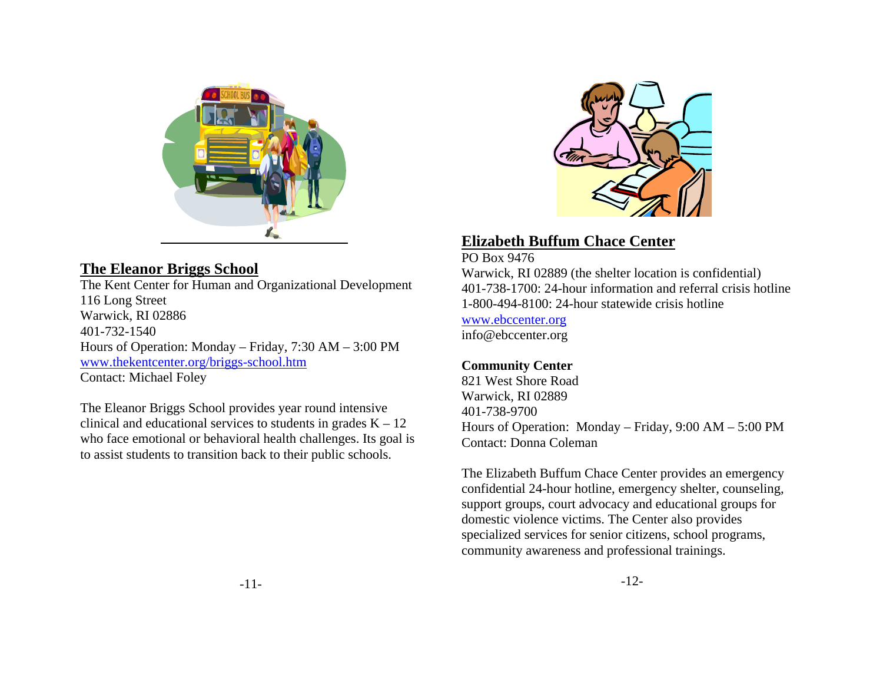

## **The Eleanor Briggs School**

The Kent Center for Human and Organizational Development 116 Long Street Warwick, RI 02886 401-732-1540 Hours of Operation: Monday – Friday, 7:30 AM – 3:00 PM www.thekentcenter.org/briggs-school.htm Contact: Michael Foley

The Eleanor Briggs School provides year round intensive clinical and educational services to students in grades  $K - 12$ who face emotional or behavioral health challenges. Its goal is to assist students to transition back to their public schools.



## **Elizabeth Buffum Chace Center**

PO Box 9476 Warwick, RI 02889 (the shelter location is confidential) 401-738-1700: 24-hour information and referral crisis hotline 1-800-494-8100: 24-hour statewide crisis hotline www.ebccenter.org info@ebccenter.org

#### **Community Center**

821 West Shore Road Warwick, RI 02889 401-738-9700 Hours of Operation: Monday – Friday, 9:00 AM – 5:00 PM Contact: Donna Coleman

The Elizabeth Buffum Chace Center provides an emergency confidential 24-hour hotline, emergency shelter, counseling, support groups, court advocacy and educational groups for domestic violence victims. The Center also provides specialized services for senior citizens, school programs, community awareness and professional trainings.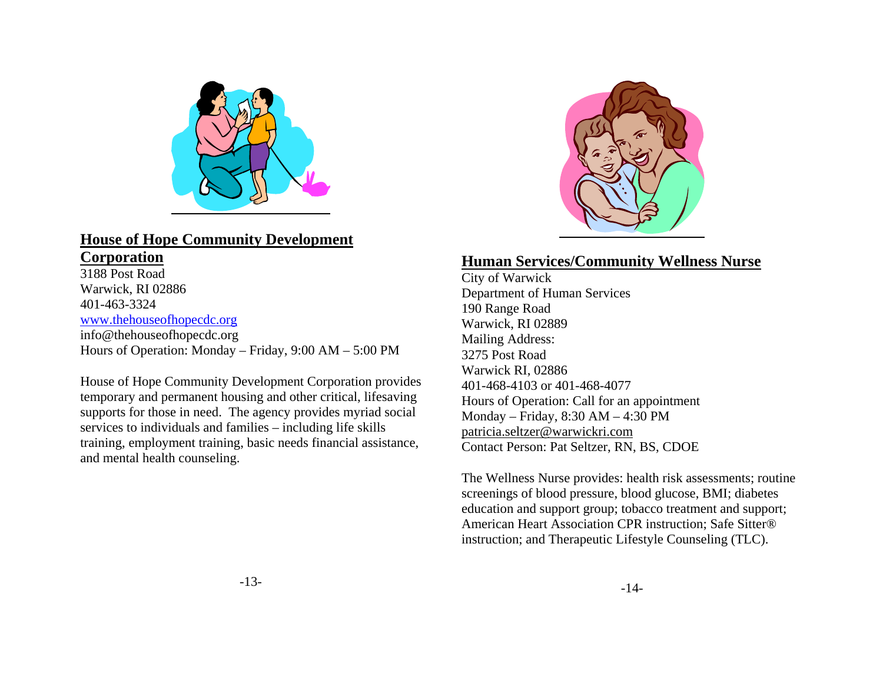

#### **House of Hope Community Development Corporation**

3188 Post Road Warwick, RI 02886 401-463-3324 www.thehouseofhopecdc.org info@thehouseofhopecdc.org Hours of Operation: Monday – Friday, 9:00 AM – 5:00 PM

House of Hope Community Development Corporation provides temporary and permanent housing and other critical, lifesaving supports for those in need. The agency provides myriad social services to individuals and families – including life skills training, employment training, basic needs financial assistance, and mental health counseling.



#### **Human Services/Community Wellness Nurse**

City of Warwick Department of Human Services 190 Range Road Warwick, RI 02889 Mailing Address: 3275 Post Road Warwick RI, 02886 401-468-4103 or 401-468-4077 Hours of Operation: Call for an appointment Monday – Friday, 8:30 AM – 4:30 PM patricia.seltzer@warwickri.com Contact Person: Pat Seltzer, RN, BS, CDOE

The Wellness Nurse provides: health risk assessments; routine screenings of blood pressure, blood glucose, BMI; diabetes education and support group; tobacco treatment and support; American Heart Association CPR instruction; Safe Sitter® instruction; and Therapeutic Lifestyle Counseling (TLC).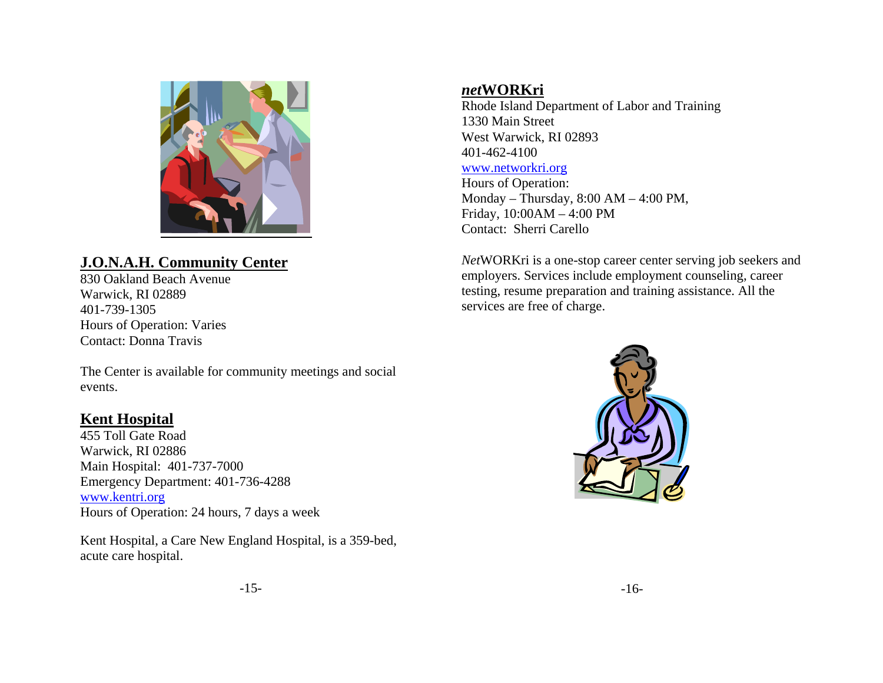

## **J.O.N.A.H. Community Center**

830 Oakland Beach Avenue Warwick, RI 02889 401-739-1305 Hours of Operation: Varies Contact: Donna Travis

The Center is available for community meetings and social events.

#### **Kent Hospital**

455 Toll Gate Road Warwick, RI 02886 Main Hospital: 401-737-7000 Emergency Department: 401-736-4288 www.kentri.org Hours of Operation: 24 hours, 7 days a week

Kent Hospital, a Care New England Hospital, is a 359-bed, acute care hospital.

#### *net***WORKri**

Rhode Island Department of Labor and Training 1330 Main Street West Warwick, RI 02893 401-462-4100

#### www.networkri.org

Hours of Operation: Monday – Thursday, 8:00 AM – 4:00 PM, Friday, 10:00AM – 4:00 PM Contact: Sherri Carello

*Net*WORKri is a one-stop career center serving job seekers and employers. Services include employment counseling, career testing, resume preparation and training assistance. All the services are free of charge.

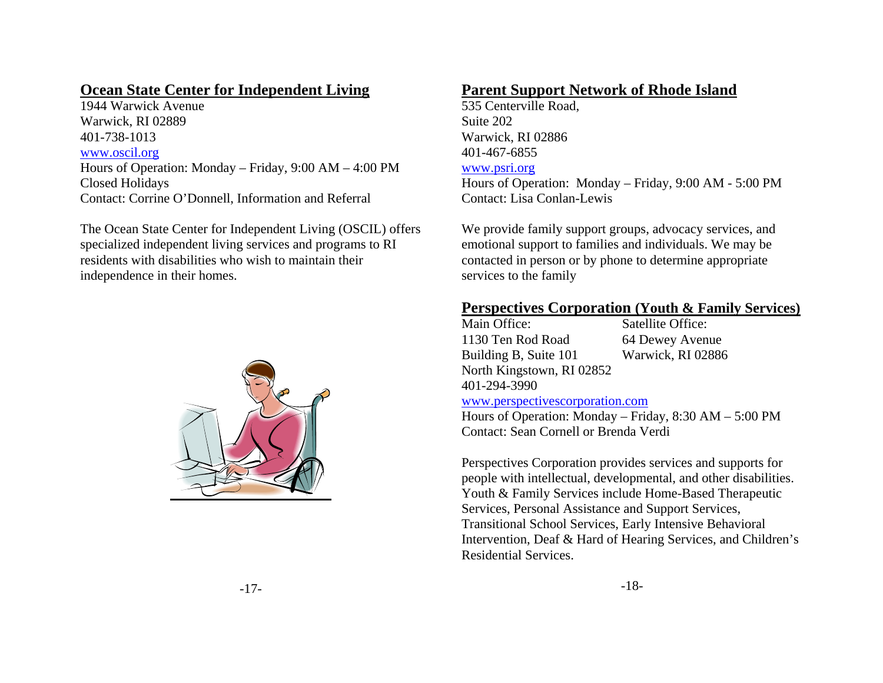#### **Ocean State Center for Independent Living**

1944 Warwick Avenue Warwick, RI 02889 401-738-1013 www.oscil.org Hours of Operation: Monday – Friday, 9:00 AM – 4:00 PM Closed Holidays Contact: Corrine O'Donnell, Information and Referral

The Ocean State Center for Independent Living (OSCIL) offers specialized independent living services and programs to RI residents with disabilities who wish to maintain their independence in their homes.



## **Parent Support Network of Rhode Island**

535 Centerville Road, Suite 202 Warwick, RI 02886 401-467-6855

#### www.psri.org

Hours of Operation: Monday – Friday, 9:00 AM - 5:00 PM Contact: Lisa Conlan-Lewis

We provide family support groups, advocacy services, and emotional support to families and individuals. We may be contacted in person or by phone to determine appropriate services to the family

#### **Perspectives Corporation (Youth & Family Services)**

| Main Office:              | Satellite Office: |
|---------------------------|-------------------|
| 1130 Ten Rod Road         | 64 Dewey Avenue   |
| Building B, Suite 101     | Warwick, RI 02886 |
| North Kingstown, RI 02852 |                   |
| 401-294-3990              |                   |

#### www.perspectivescorporation.com

Hours of Operation: Monday – Friday, 8:30 AM – 5:00 PM Contact: Sean Cornell or Brenda Verdi

Perspectives Corporation provides services and supports for people with intellectual, developmental, and other disabilities. Youth & Family Services include Home-Based Therapeutic Services, Personal Assistance and Support Services, Transitional School Services, Early Intensive Behavioral Intervention, Deaf & Hard of Hearing Services, and Children's Residential Services.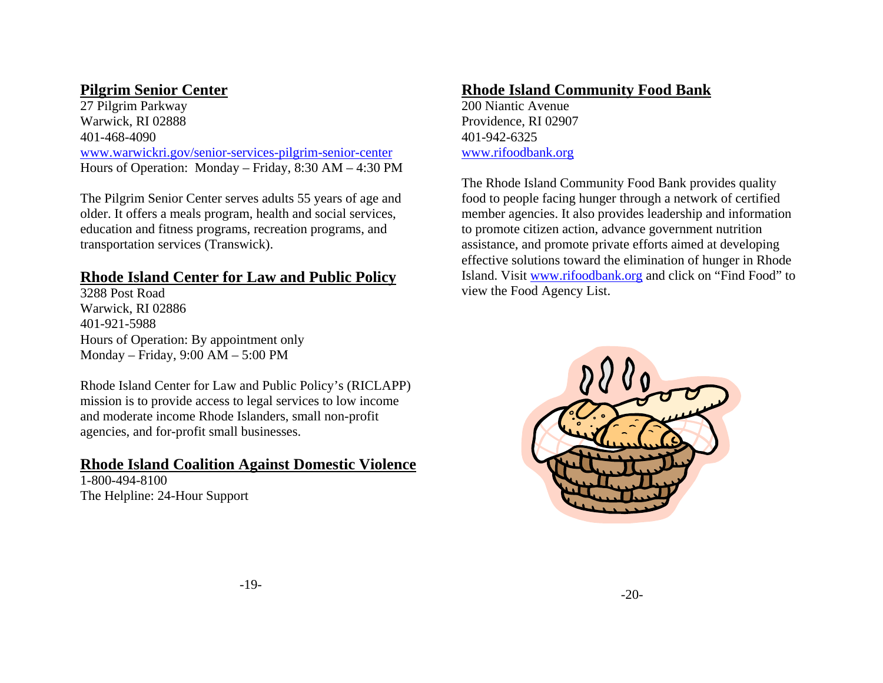## **Pilgrim Senior Center**

27 Pilgrim Parkway Warwick, RI 02888 401-468-4090 www.warwickri.gov/senior-services-pilgrim-senior-center Hours of Operation: Monday – Friday, 8:30 AM – 4:30 PM

The Pilgrim Senior Center serves adults 55 years of age and older. It offers a meals program, health and social services, education and fitness programs, recreation programs, and transportation services (Transwick).

#### **Rhode Island Center for Law and Public Policy**

3288 Post Road Warwick, RI 02886 401-921-5988 Hours of Operation: By appointment only Monday – Friday, 9:00 AM – 5:00 PM

Rhode Island Center for Law and Public Policy's (RICLAPP) mission is to provide access to legal services to low income and moderate income Rhode Islanders, small non-profit agencies, and for-profit small businesses.

#### **Rhode Island Coalition Against Domestic Violence**

1-800-494-8100 The Helpline: 24-Hour Support

## **Rhode Island Community Food Bank**

200 Niantic Avenue Providence, RI 02907 401-942-6325 www.rifoodbank.org

The Rhode Island Community Food Bank provides quality food to people facing hunger through a network of certified member agencies. It also provides leadership and information to promote citizen action, advance government nutrition assistance, and promote private efforts aimed at developing effective solutions toward the elimination of hunger in Rhode Island. Visit www.rifoodbank.org and click on "Find Food" to view the Food Agency List.

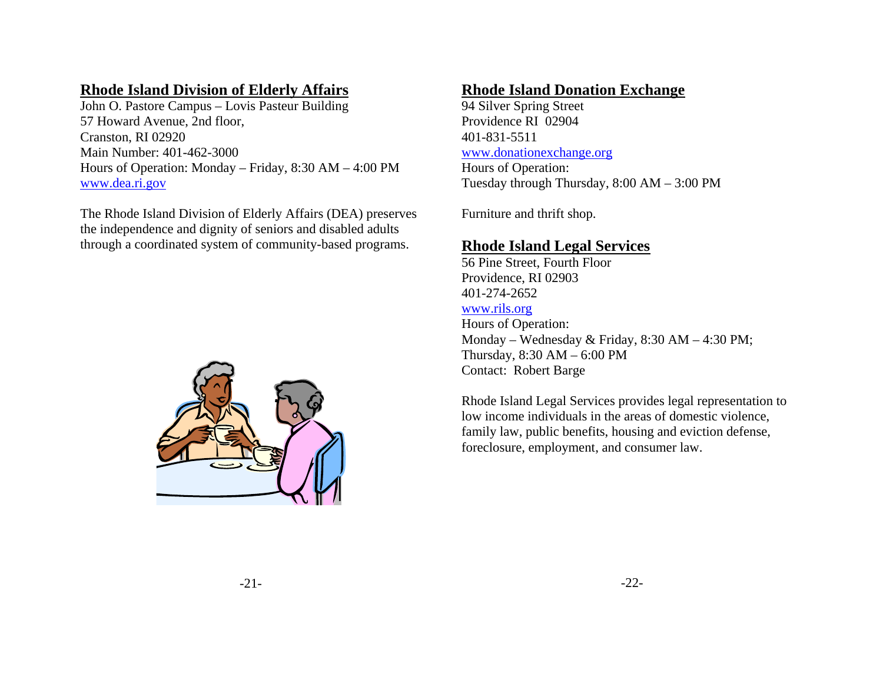## **Rhode Island Division of Elderly Affairs**

John O. Pastore Campus – Lovis Pasteur Building 57 Howard Avenue, 2nd floor, Cranston, RI 02920 Main Number: 401-462-3000 Hours of Operation: Monday – Friday, 8:30 AM – 4:00 PM www.dea.ri.gov

The Rhode Island Division of Elderly Affairs (DEA) preserves the independence and dignity of seniors and disabled adults through a coordinated system of community-based programs.



#### **Rhode Island Donation Exchange**

94 Silver Spring Street Providence RI 02904 401-831-5511 www.donationexchange.org

Hours of Operation: Tuesday through Thursday, 8:00 AM – 3:00 PM

Furniture and thrift shop.

#### **Rhode Island Legal Services**

56 Pine Street, Fourth Floor Providence, RI 02903 401-274-2652 www.rils.org Hours of Operation: Monday – Wednesday & Friday, 8:30 AM – 4:30 PM; Thursday, 8:30 AM – 6:00 PM Contact: Robert Barge

Rhode Island Legal Services provides legal representation to low income individuals in the areas of domestic violence, family law, public benefits, housing and eviction defense, foreclosure, employment, and consumer law.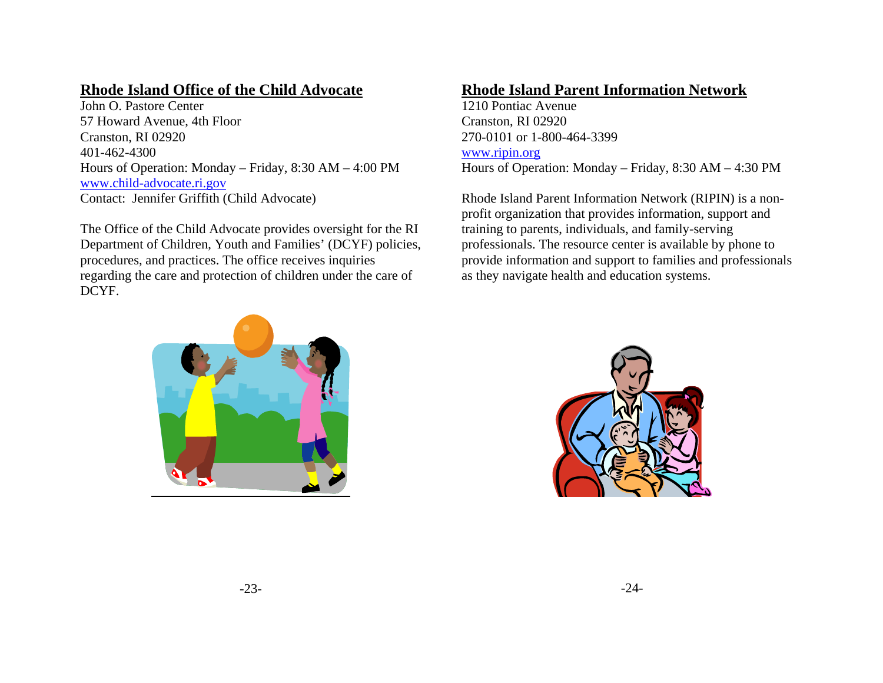## **Rhode Island Office of the Child Advocate**

John O. Pastore Center 57 Howard Avenue, 4th Floor Cranston, RI 02920 401-462-4300 Hours of Operation: Monday – Friday, 8:30 AM – 4:00 PM www.child-advocate.ri.gov Contact: Jennifer Griffith (Child Advocate)

The Office of the Child Advocate provides oversight for the RI Department of Children, Youth and Families' (DCYF) policies, procedures, and practices. The office receives inquiries regarding the care and protection of children under the care of DCYF.

## **Rhode Island Parent Information Network**

1210 Pontiac Avenue Cranston, RI 02920 270-0101 or 1-800-464-3399 www.ripin.org Hours of Operation: Monday – Friday, 8:30 AM – 4:30 PM

Rhode Island Parent Information Network (RIPIN) is a nonprofit organization that provides information, support and training to parents, individuals, and family-serving professionals. The resource center is available by phone to provide information and support to families and professionals as they navigate health and education systems.



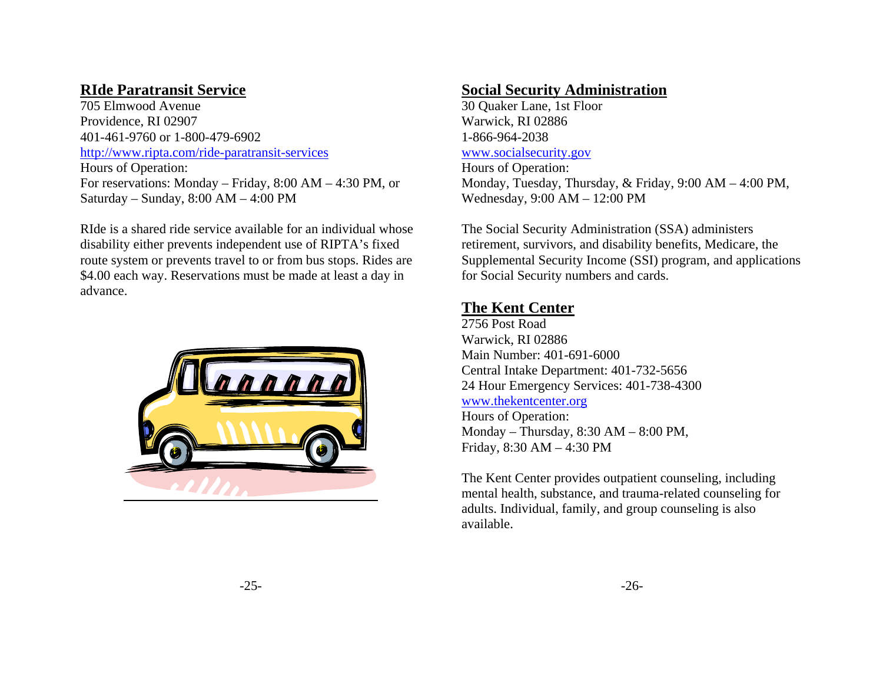## **RIde Paratransit Service**

705 Elmwood Avenue Providence, RI 02907 401-461-9760 or 1-800-479-6902 http://www.ripta.com/ride-paratransit-services Hours of Operation: For reservations: Monday – Friday, 8:00 AM – 4:30 PM, or Saturday – Sunday, 8:00 AM – 4:00 PM

RIde is a shared ride service available for an individual whose disability either prevents independent use of RIPTA's fixed route system or prevents travel to or from bus stops. Rides are \$4.00 each way. Reservations must be made at least a day in advance.



#### **Social Security Administration**

30 Quaker Lane, 1st Floor Warwick, RI 02886 1-866-964-2038 www.socialsecurity.gov

Hours of Operation: Monday, Tuesday, Thursday, & Friday, 9:00 AM – 4:00 PM, Wednesday, 9:00 AM – 12:00 PM

The Social Security Administration (SSA) administers retirement, survivors, and disability benefits, Medicare, the Supplemental Security Income (SSI) program, and applications for Social Security numbers and cards.

## **The Kent Center**

2756 Post Road Warwick, RI 02886 Main Number: 401-691-6000 Central Intake Department: 401-732-5656 24 Hour Emergency Services: 401-738-4300 www.thekentcenter.org Hours of Operation: Monday – Thursday, 8:30 AM – 8:00 PM, Friday, 8:30 AM – 4:30 PM

The Kent Center provides outpatient counseling, including mental health, substance, and trauma-related counseling for adults. Individual, family, and group counseling is also available.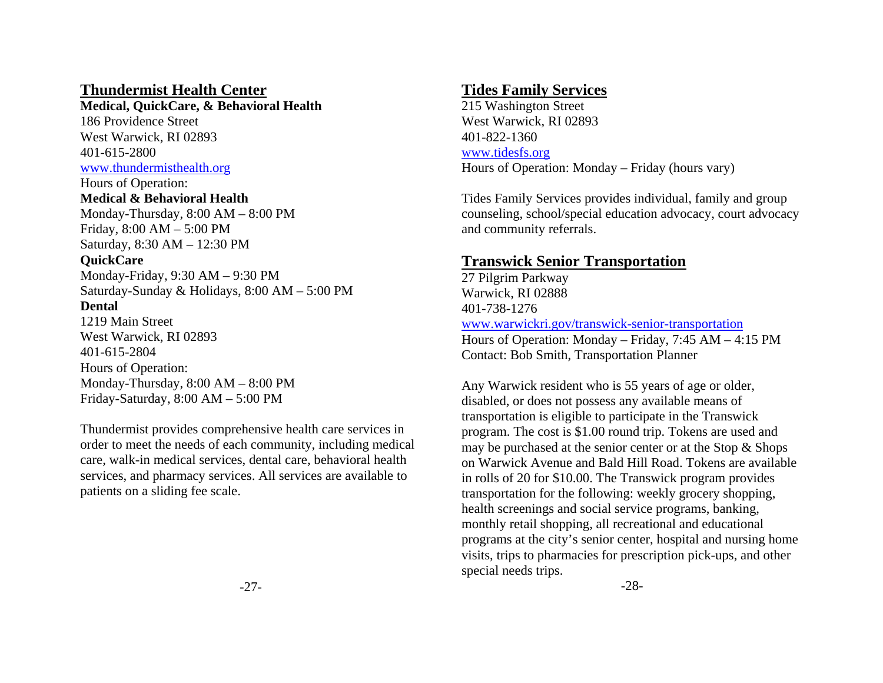#### **Thundermist Health Center**

**Medical, QuickCare, & Behavioral Health** 

186 Providence Street West Warwick, RI 02893 401-615-2800 www.thundermisthealth.org

Hours of Operation: **Medical & Behavioral Health** Monday-Thursday, 8:00 AM – 8:00 PM Friday, 8:00 AM – 5:00 PM Saturday, 8:30 AM – 12:30 PM

#### **QuickCare**

Monday-Friday, 9:30 AM – 9:30 PM Saturday-Sunday & Holidays, 8:00 AM – 5:00 PM

#### **Dental**

1219 Main Street West Warwick, RI 02893 401-615-2804 Hours of Operation: Monday-Thursday, 8:00 AM – 8:00 PM Friday-Saturday, 8:00 AM – 5:00 PM

Thundermist provides comprehensive health care services in order to meet the needs of each community, including medical care, walk-in medical services, dental care, behavioral health services, and pharmacy services. All services are available to patients on a sliding fee scale.

## **Tides Family Services**

215 Washington Street West Warwick, RI 02893 401-822-1360 www.tidesfs.org Hours of Operation: Monday – Friday (hours vary)

Tides Family Services provides individual, family and group counseling, school/special education advocacy, court advocacy and community referrals.

# **Transwick Senior Transportation**

27 Pilgrim Parkway Warwick, RI 02888 401-738-1276 www.warwickri.gov/transwick-senior-transportation Hours of Operation: Monday – Friday, 7:45 AM – 4:15 PM Contact: Bob Smith, Transportation Planner

Any Warwick resident who is 55 years of age or older, disabled, or does not possess any available means of transportation is eligible to participate in the Transwick program. The cost is \$1.00 round trip. Tokens are used and may be purchased at the senior center or at the Stop & Shops on Warwick Avenue and Bald Hill Road. Tokens are available in rolls of 20 for \$10.00. The Transwick program provides transportation for the following: weekly grocery shopping, health screenings and social service programs, banking, monthly retail shopping, all recreational and educational programs at the city's senior center, hospital and nursing home visits, trips to pharmacies for prescription pick-ups, and other special needs trips.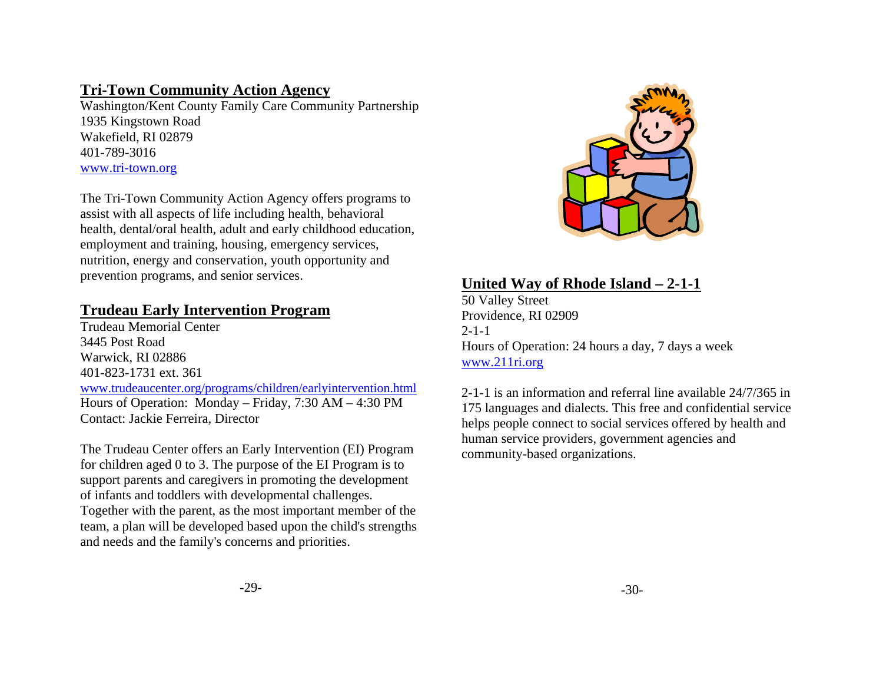#### **Tri-Town Community Action Agency**

Washington/Kent County Family Care Community Partnership 1935 Kingstown Road Wakefield, RI 02879 401-789-3016 www.tri-town.org

The Tri-Town Community Action Agency offers programs to assist with all aspects of life including health, behavioral health, dental/oral health, adult and early childhood education, employment and training, housing, emergency services, nutrition, energy and conservation, youth opportunity and prevention programs, and senior services.

# **Trudeau Early Intervention Program**

Trudeau Memorial Center 3445 Post Road Warwick, RI 02886 401-823-1731 ext. 361 www.trudeaucenter.org/programs/children/earlyintervention.html Hours of Operation: Monday – Friday, 7:30 AM – 4:30 PM Contact: Jackie Ferreira, Director

The Trudeau Center offers an Early Intervention (EI) Program for children aged 0 to 3. The purpose of the EI Program is to support parents and caregivers in promoting the development of infants and toddlers with developmental challenges. Together with the parent, as the most important member of the team, a plan will be developed based upon the child's strengths and needs and the family's concerns and priorities.



# **United Way of Rhode Island – 2-1-1**

50 Valley Street Providence, RI 02909  $2 - 1 - 1$ Hours of Operation: 24 hours a day, 7 days a week www.211ri.org

2-1-1 is an information and referral line available 24/7/365 in 175 languages and dialects. This free and confidential service helps people connect to social services offered by health and human service providers, government agencies and community-based organizations.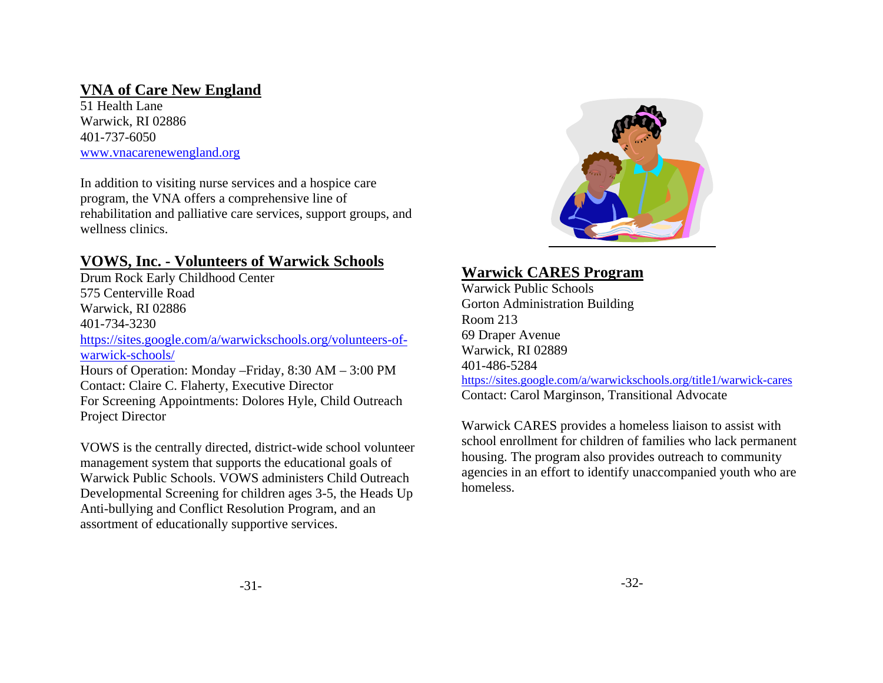## **VNA of Care New England**

51 Health Lane Warwick, RI 02886 401-737-6050 www.vnacarenewengland.org

In addition to visiting nurse services and a hospice care program, the VNA offers a comprehensive line of rehabilitation and palliative care services, support groups, and wellness clinics.

# **VOWS, Inc. - Volunteers of Warwick Schools**

Drum Rock Early Childhood Center 575 Centerville Road Warwick, RI 02886 401-734-3230 https://sites.google.com/a/warwickschools.org/volunteers-ofwarwick-schools/Hours of Operation: Monday –Friday, 8:30 AM – 3:00 PM Contact: Claire C. Flaherty, Executive Director For Screening Appointments: Dolores Hyle, Child Outreach Project Director

VOWS is the centrally directed, district-wide school volunteer management system that supports the educational goals of Warwick Public Schools. VOWS administers Child Outreach Developmental Screening for children ages 3-5, the Heads Up Anti-bullying and Conflict Resolution Program, and an assortment of educationally supportive services.



# **Warwick CARES Program**

Warwick Public Schools Gorton Administration Building Room 213 69 Draper Avenue Warwick, RI 02889 401-486-5284 https://sites.google.com/a/warwickschools.org/title1/warwick-cares Contact: Carol Marginson, Transitional Advocate

Warwick CARES provides a homeless liaison to assist with school enrollment for children of families who lack permanent housing. The program also provides outreach to community agencies in an effort to identify unaccompanied youth who are homeless.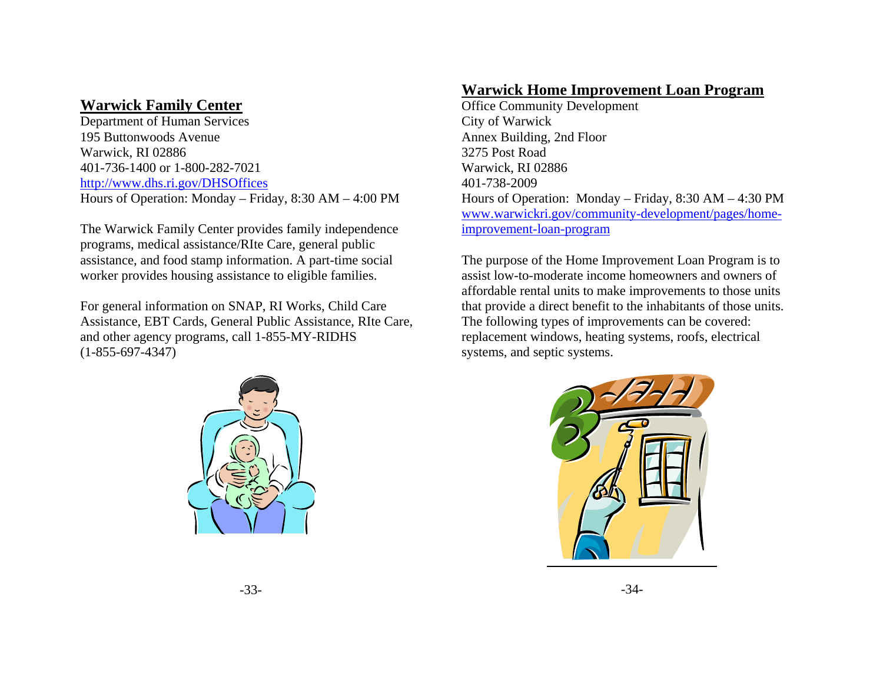#### **Warwick Family Center**

Department of Human Services 195 Buttonwoods Avenue Warwick, RI 02886 401-736-1400 or 1-800-282-7021 http://www.dhs.ri.gov/DHSOffices Hours of Operation: Monday – Friday, 8:30 AM – 4:00 PM

The Warwick Family Center provides family independence programs, medical assistance/RIte Care, general public assistance, and food stamp information. A part-time social worker provides housing assistance to eligible families.

For general information on SNAP, RI Works, Child Care Assistance, EBT Cards, General Public Assistance, RIte Care, and other agency programs, call 1-855-MY-RIDHS (1-855-697-4347)



## **Warwick Home Improvement Loan Program**

Office Community Development City of Warwick Annex Building, 2nd Floor 3275 Post Road Warwick, RI 02886 401-738-2009 Hours of Operation: Monday – Friday, 8:30 AM – 4:30 PM www.warwickri.gov/community-development/pages/homeimprovement-loan-program

The purpose of the Home Improvement Loan Program is to assist low-to-moderate income homeowners and owners of affordable rental units to make improvements to those units that provide a direct benefit to the inhabitants of those units. The following types of improvements can be covered: replacement windows, heating systems, roofs, electrical systems, and septic systems.

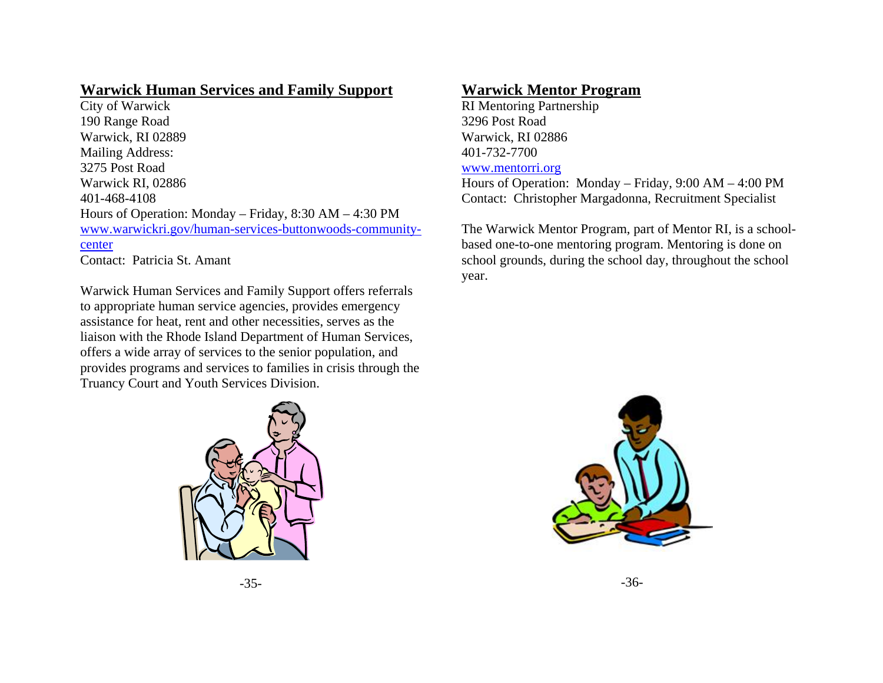#### **Warwick Human Services and Family Support**

City of Warwick 190 Range Road Warwick, RI 02889 Mailing Address: 3275 Post Road Warwick RI, 02886 401-468-4108 Hours of Operation: Monday – Friday, 8:30 AM – 4:30 PM www.warwickri.gov/human-services-buttonwoods-communitycenter Contact: Patricia St. Amant

Warwick Human Services and Family Support offers referrals

to appropriate human service agencies, provides emergency assistance for heat, rent and other necessities, serves as the liaison with the Rhode Island Department of Human Services, offers a wide array of services to the senior population, and provides programs and services to families in crisis through the Truancy Court and Youth Services Division.

#### **Warwick Mentor Program**

RI Mentoring Partnership 3296 Post Road Warwick, RI 02886 401-732-7700

#### www.mentorri.org

Hours of Operation: Monday – Friday, 9:00 AM – 4:00 PM Contact: Christopher Margadonna, Recruitment Specialist

The Warwick Mentor Program, part of Mentor RI, is a schoolbased one-to-one mentoring program. Mentoring is done on school grounds, during the school day, throughout the school year.



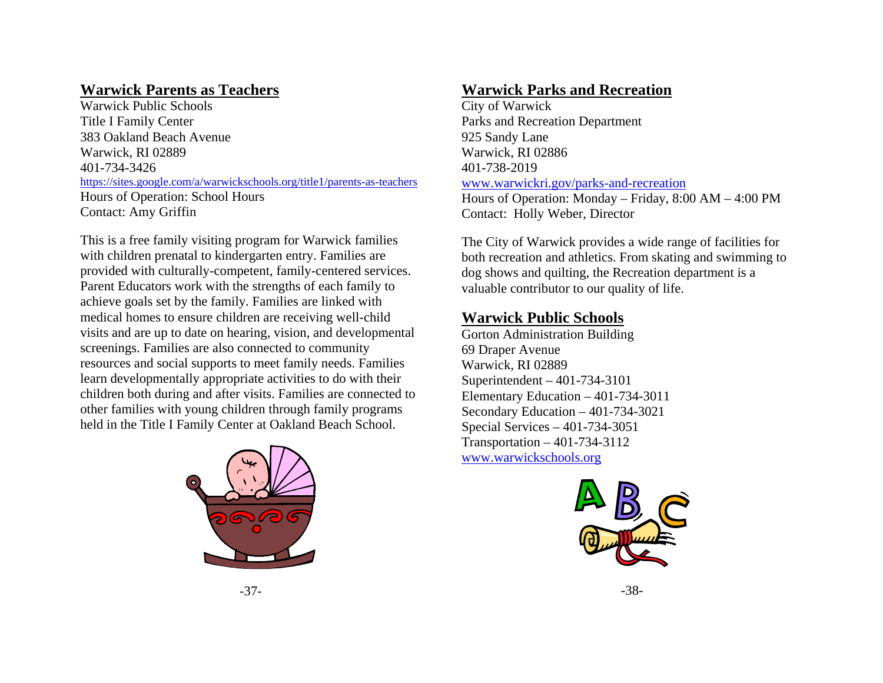## **Warwick Parents as Teachers**

Warwick Public Schools Title I Family Center 383 Oakland Beach Avenue Warwick, RI 02889 401-734-3426 https://sites.google.com/a/warwickschools.org/title1/parents-as-teachers Hours of Operation: School Hours Contact: Amy Griffin

This is a free family visiting program for Warwick families with children prenatal to kindergarten entry. Families are provided with culturally-competent, family-centered services. Parent Educators work with the strengths of each family to achieve goals set by the family. Families are linked with medical homes to ensure children are receiving well-child visits and are up to date on hearing, vision, and developmental screenings. Families are also connected to community resources and social supports to meet family needs. Families learn developmentally appropriate activities to do with their children both during and after visits. Families are connected to other families with young children through family programs held in the Title I Family Center at Oakland Beach School.



## **Warwick Parks and Recreation**

City of Warwick Parks and Recreation Department 925 Sandy Lane Warwick, RI 02886 401-738-2019 www.warwickri.gov/parks-and-recreation Hours of Operation: Monday – Friday, 8:00 AM – 4:00 PM Contact: Holly Weber, Director

The City of Warwick provides a wide range of facilities for both recreation and athletics. From skating and swimming to dog shows and quilting, the Recreation department is a valuable contributor to our quality of life.

## **Warwick Public Schools**

Gorton Administration Building 69 Draper Avenue Warwick, RI 02889 Superintendent – 401-734-3101 Elementary Education – 401-734-3011 Secondary Education – 401-734-3021 Special Services – 401-734-3051 Transportation – 401-734-3112 www.warwickschools.org



-37-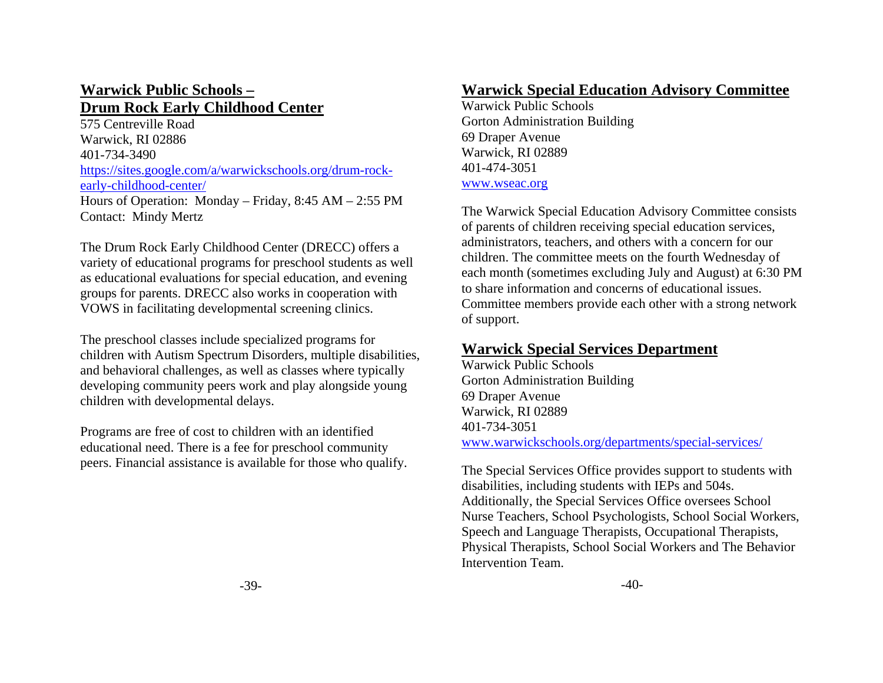#### **Warwick Public Schools – Drum Rock Early Childhood Center**

575 Centreville Road Warwick, RI 02886 401-734-3490 https://sites.google.com/a/warwickschools.org/drum-rockearly-childhood-center/ Hours of Operation: Monday – Friday, 8:45 AM – 2:55 PM Contact: Mindy Mertz

The Drum Rock Early Childhood Center (DRECC) offers a variety of educational programs for preschool students as well as educational evaluations for special education, and evening groups for parents. DRECC also works in cooperation with VOWS in facilitating developmental screening clinics.

The preschool classes include specialized programs for children with Autism Spectrum Disorders, multiple disabilities, and behavioral challenges, as well as classes where typically developing community peers work and play alongside young children with developmental delays.

Programs are free of cost to children with an identified educational need. There is a fee for preschool community peers. Financial assistance is available for those who qualify.

#### **Warwick Special Education Advisory Committee**

Warwick Public Schools Gorton Administration Building 69 Draper Avenue Warwick, RI 02889 401-474-3051 www.wseac.org

The Warwick Special Education Advisory Committee consists of parents of children receiving special education services, administrators, teachers, and others with a concern for our children. The committee meets on the fourth Wednesday of each month (sometimes excluding July and August) at 6:30 PM to share information and concerns of educational issues. Committee members provide each other with a strong network of support.

## **Warwick Special Services Department**

Warwick Public Schools Gorton Administration Building 69 Draper Avenue Warwick, RI 02889 401-734-3051www.warwickschools.org/departments/special-services/

The Special Services Office provides support to students with disabilities, including students with IEPs and 504s. Additionally, the Special Services Office oversees School Nurse Teachers, School Psychologists, School Social Workers, Speech and Language Therapists, Occupational Therapists, Physical Therapists, School Social Workers and The Behavior Intervention Team.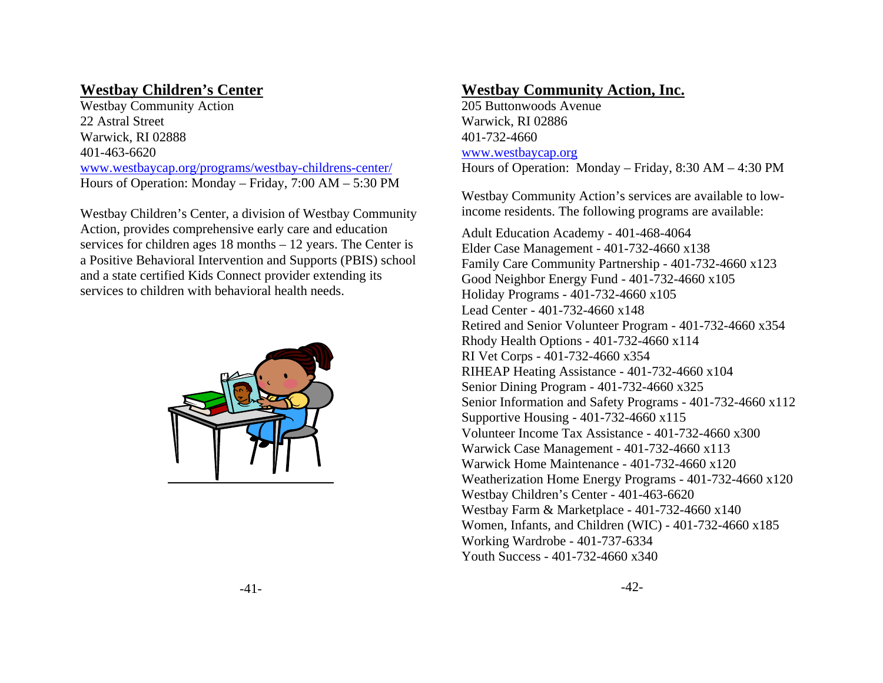## **Westbay Children's Center**

Westbay Community Action 22 Astral Street Warwick, RI 02888 401-463-6620 www.westbaycap.org/programs/westbay-childrens-center/ Hours of Operation: Monday – Friday, 7:00 AM – 5:30 PM

Westbay Children's Center, a division of Westbay Community Action, provides comprehensive early care and education services for children ages 18 months – 12 years. The Center is a Positive Behavioral Intervention and Supports (PBIS) school and a state certified Kids Connect provider extending its services to children with behavioral health needs.



#### **Westbay Community Action, Inc.**

205 Buttonwoods Avenue Warwick, RI 02886 401-732-4660 www.westbaycap.org Hours of Operation: Monday – Friday, 8:30 AM – 4:30 PM

Westbay Community Action's services are available to lowincome residents. The following programs are available:

Adult Education Academy - 401-468-4064 Elder Case Management - 401-732-4660 x138 Family Care Community Partnership - 401-732-4660 x123 Good Neighbor Energy Fund - 401-732-4660 x105 Holiday Programs - 401-732-4660 x105 Lead Center - 401-732-4660 x148 Retired and Senior Volunteer Program - 401-732-4660 x354 Rhody Health Options - 401-732-4660 x114 RI Vet Corps - 401-732-4660 x354 RIHEAP Heating Assistance - 401-732-4660 x104 Senior Dining Program - 401-732-4660 x325 Senior Information and Safety Programs - 401-732-4660 x112 Supportive Housing - 401-732-4660 x115 Volunteer Income Tax Assistance - 401-732-4660 x300 Warwick Case Management - 401-732-4660 x113 Warwick Home Maintenance - 401-732-4660 x120 Weatherization Home Energy Programs - 401-732-4660 x120 Westbay Children's Center - 401-463-6620 Westbay Farm & Marketplace - 401-732-4660 x140 Women, Infants, and Children (WIC) - 401-732-4660 x185 Working Wardrobe - 401-737-6334 Youth Success - 401-732-4660 x340